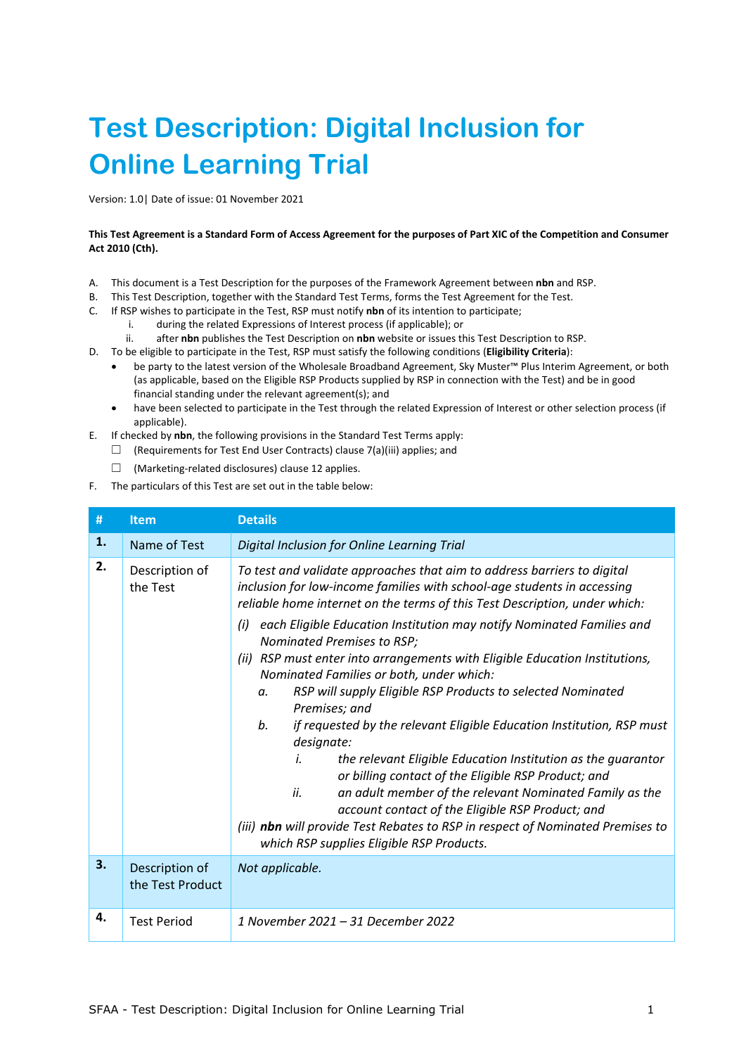# **Test Description: Digital Inclusion for Online Learning Trial**

Version: 1.0| Date of issue: 01 November 2021

# **This Test Agreement is a Standard Form of Access Agreement for the purposes of Part XIC of the Competition and Consumer Act 2010 (Cth).**

- A. This document is a Test Description for the purposes of the Framework Agreement between **nbn** and RSP.
- B. This Test Description, together with the Standard Test Terms, forms the Test Agreement for the Test.
- C. If RSP wishes to participate in the Test, RSP must notify **nbn** of its intention to participate;
	- i. during the related Expressions of Interest process (if applicable); or
	- ii. after **nbn** publishes the Test Description on **nbn** website or issues this Test Description to RSP.
- D. To be eligible to participate in the Test, RSP must satisfy the following conditions (**Eligibility Criteria**):
	- be party to the latest version of the Wholesale Broadband Agreement, Sky Muster™ Plus Interim Agreement, or both (as applicable, based on the Eligible RSP Products supplied by RSP in connection with the Test) and be in good financial standing under the relevant agreement(s); and
	- have been selected to participate in the Test through the related Expression of Interest or other selection process (if applicable).
- E. If checked by **nbn**, the following provisions in the Standard Test Terms apply:
	- $\Box$  (Requirements for Test End User Contracts) clause 7(a)(iii) applies; and
		- ☐ (Marketing-related disclosures) clause 12 applies.
- F. The particulars of this Test are set out in the table below:

| #  | <b>Item</b>                        | <b>Details</b>                                                                                                                                                                                                                                                                                                                                                                                                                                                                                                                                                                                                                                                                                                                                                                                                                                                                                                                                                                                                                                    |
|----|------------------------------------|---------------------------------------------------------------------------------------------------------------------------------------------------------------------------------------------------------------------------------------------------------------------------------------------------------------------------------------------------------------------------------------------------------------------------------------------------------------------------------------------------------------------------------------------------------------------------------------------------------------------------------------------------------------------------------------------------------------------------------------------------------------------------------------------------------------------------------------------------------------------------------------------------------------------------------------------------------------------------------------------------------------------------------------------------|
| 1. | Name of Test                       | Digital Inclusion for Online Learning Trial                                                                                                                                                                                                                                                                                                                                                                                                                                                                                                                                                                                                                                                                                                                                                                                                                                                                                                                                                                                                       |
| 2. | Description of<br>the Test         | To test and validate approaches that aim to address barriers to digital<br>inclusion for low-income families with school-age students in accessing<br>reliable home internet on the terms of this Test Description, under which:<br>each Eligible Education Institution may notify Nominated Families and<br>(i)<br>Nominated Premises to RSP;<br>RSP must enter into arrangements with Eligible Education Institutions,<br>(ii)<br>Nominated Families or both, under which:<br>RSP will supply Eligible RSP Products to selected Nominated<br>α.<br>Premises; and<br>if requested by the relevant Eligible Education Institution, RSP must<br>b.<br>designate:<br>the relevant Eligible Education Institution as the guarantor<br>i.<br>or billing contact of the Eligible RSP Product; and<br>ii.<br>an adult member of the relevant Nominated Family as the<br>account contact of the Eligible RSP Product; and<br>(iii) nbn will provide Test Rebates to RSP in respect of Nominated Premises to<br>which RSP supplies Eligible RSP Products. |
| 3. | Description of<br>the Test Product | Not applicable.                                                                                                                                                                                                                                                                                                                                                                                                                                                                                                                                                                                                                                                                                                                                                                                                                                                                                                                                                                                                                                   |
| 4. | <b>Test Period</b>                 | 1 November 2021 - 31 December 2022                                                                                                                                                                                                                                                                                                                                                                                                                                                                                                                                                                                                                                                                                                                                                                                                                                                                                                                                                                                                                |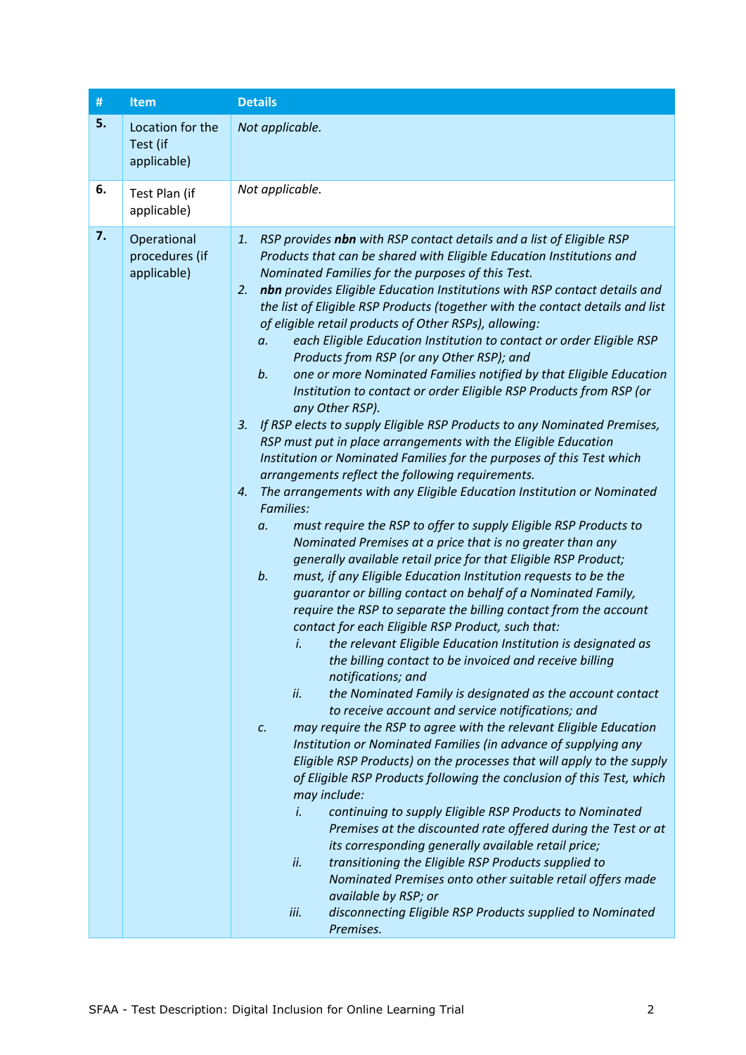| $\#$ | <b>Item</b>                                  | <b>Details</b>                                                                                                                                                                                                                                                                                                                                                                                                                                                                                                                                                                                                                                                                                                                                                                                                                                                                                                                                                                                                                                                                                                                                                                                                                                                                                                                                                                                                                                                                                                                                                                                                                                                                                                                                                                                                                                                                                                                                                                                                                                                                                                                                                                                                                                                                                                                                                                                                                                                                                                                                                                                                      |
|------|----------------------------------------------|---------------------------------------------------------------------------------------------------------------------------------------------------------------------------------------------------------------------------------------------------------------------------------------------------------------------------------------------------------------------------------------------------------------------------------------------------------------------------------------------------------------------------------------------------------------------------------------------------------------------------------------------------------------------------------------------------------------------------------------------------------------------------------------------------------------------------------------------------------------------------------------------------------------------------------------------------------------------------------------------------------------------------------------------------------------------------------------------------------------------------------------------------------------------------------------------------------------------------------------------------------------------------------------------------------------------------------------------------------------------------------------------------------------------------------------------------------------------------------------------------------------------------------------------------------------------------------------------------------------------------------------------------------------------------------------------------------------------------------------------------------------------------------------------------------------------------------------------------------------------------------------------------------------------------------------------------------------------------------------------------------------------------------------------------------------------------------------------------------------------------------------------------------------------------------------------------------------------------------------------------------------------------------------------------------------------------------------------------------------------------------------------------------------------------------------------------------------------------------------------------------------------------------------------------------------------------------------------------------------------|
| 5.   | Location for the<br>Test (if<br>applicable)  | Not applicable.                                                                                                                                                                                                                                                                                                                                                                                                                                                                                                                                                                                                                                                                                                                                                                                                                                                                                                                                                                                                                                                                                                                                                                                                                                                                                                                                                                                                                                                                                                                                                                                                                                                                                                                                                                                                                                                                                                                                                                                                                                                                                                                                                                                                                                                                                                                                                                                                                                                                                                                                                                                                     |
| 6.   | Test Plan (if<br>applicable)                 | Not applicable.                                                                                                                                                                                                                                                                                                                                                                                                                                                                                                                                                                                                                                                                                                                                                                                                                                                                                                                                                                                                                                                                                                                                                                                                                                                                                                                                                                                                                                                                                                                                                                                                                                                                                                                                                                                                                                                                                                                                                                                                                                                                                                                                                                                                                                                                                                                                                                                                                                                                                                                                                                                                     |
| 7.   | Operational<br>procedures (if<br>applicable) | RSP provides nbn with RSP contact details and a list of Eligible RSP<br>1.<br>Products that can be shared with Eligible Education Institutions and<br>Nominated Families for the purposes of this Test.<br>nbn provides Eligible Education Institutions with RSP contact details and<br>2.<br>the list of Eligible RSP Products (together with the contact details and list<br>of eligible retail products of Other RSPs), allowing:<br>each Eligible Education Institution to contact or order Eligible RSP<br>a.<br>Products from RSP (or any Other RSP); and<br>one or more Nominated Families notified by that Eligible Education<br>b.<br>Institution to contact or order Eligible RSP Products from RSP (or<br>any Other RSP).<br>If RSP elects to supply Eligible RSP Products to any Nominated Premises,<br>3.<br>RSP must put in place arrangements with the Eligible Education<br>Institution or Nominated Families for the purposes of this Test which<br>arrangements reflect the following requirements.<br>The arrangements with any Eligible Education Institution or Nominated<br>4.<br><b>Families:</b><br>must require the RSP to offer to supply Eligible RSP Products to<br>a.<br>Nominated Premises at a price that is no greater than any<br>generally available retail price for that Eligible RSP Product;<br>must, if any Eligible Education Institution requests to be the<br>b.<br>guarantor or billing contact on behalf of a Nominated Family,<br>require the RSP to separate the billing contact from the account<br>contact for each Eligible RSP Product, such that:<br>the relevant Eligible Education Institution is designated as<br>i.<br>the billing contact to be invoiced and receive billing<br>notifications; and<br>ii.<br>the Nominated Family is designated as the account contact<br>to receive account and service notifications; and<br>may require the RSP to agree with the relevant Eligible Education<br>c.<br>Institution or Nominated Families (in advance of supplying any<br>Eligible RSP Products) on the processes that will apply to the supply<br>of Eligible RSP Products following the conclusion of this Test, which<br>may include:<br>continuing to supply Eligible RSP Products to Nominated<br>İ.<br>Premises at the discounted rate offered during the Test or at<br>its corresponding generally available retail price;<br>ii.<br>transitioning the Eligible RSP Products supplied to<br>Nominated Premises onto other suitable retail offers made<br>available by RSP; or<br>disconnecting Eligible RSP Products supplied to Nominated<br>iii. |
|      |                                              | Premises.                                                                                                                                                                                                                                                                                                                                                                                                                                                                                                                                                                                                                                                                                                                                                                                                                                                                                                                                                                                                                                                                                                                                                                                                                                                                                                                                                                                                                                                                                                                                                                                                                                                                                                                                                                                                                                                                                                                                                                                                                                                                                                                                                                                                                                                                                                                                                                                                                                                                                                                                                                                                           |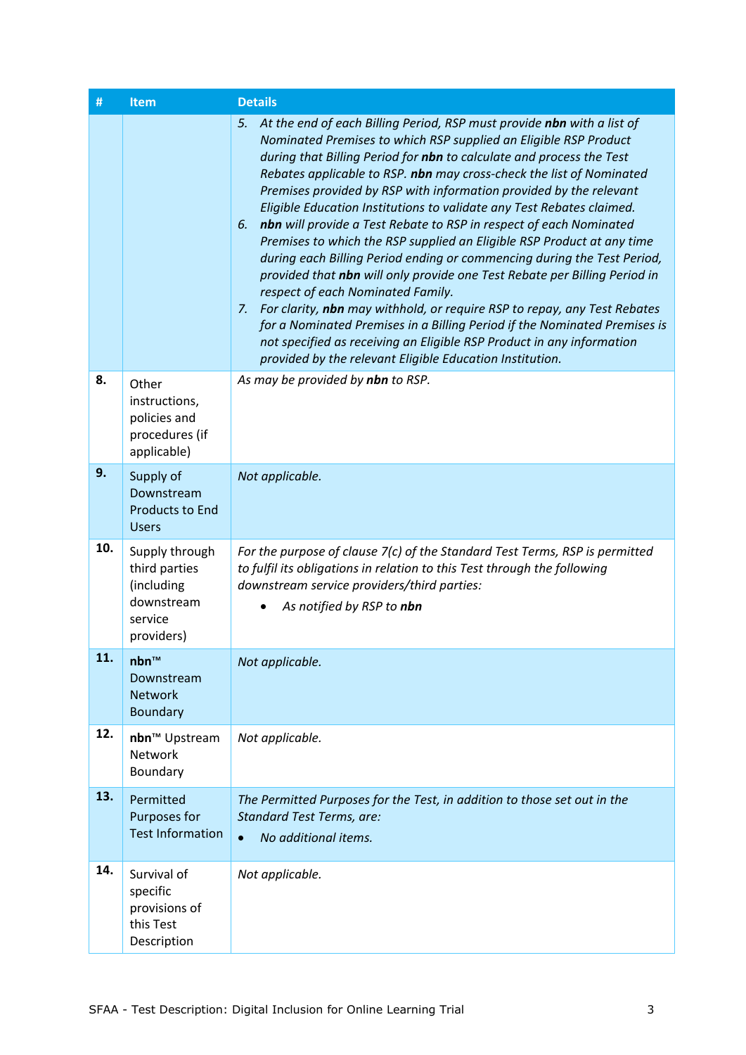| #   | Item                                                                                 | <b>Details</b>                                                                                                                                                                                                                                                                                                                                                                                                                                                                                                                                                                                                                                                                                                                                                                                                                                                                                                                                                                                                                                                                                         |
|-----|--------------------------------------------------------------------------------------|--------------------------------------------------------------------------------------------------------------------------------------------------------------------------------------------------------------------------------------------------------------------------------------------------------------------------------------------------------------------------------------------------------------------------------------------------------------------------------------------------------------------------------------------------------------------------------------------------------------------------------------------------------------------------------------------------------------------------------------------------------------------------------------------------------------------------------------------------------------------------------------------------------------------------------------------------------------------------------------------------------------------------------------------------------------------------------------------------------|
|     |                                                                                      | At the end of each Billing Period, RSP must provide nbn with a list of<br>5.<br>Nominated Premises to which RSP supplied an Eligible RSP Product<br>during that Billing Period for nbn to calculate and process the Test<br>Rebates applicable to RSP. nbn may cross-check the list of Nominated<br>Premises provided by RSP with information provided by the relevant<br>Eligible Education Institutions to validate any Test Rebates claimed.<br>nbn will provide a Test Rebate to RSP in respect of each Nominated<br>6.<br>Premises to which the RSP supplied an Eligible RSP Product at any time<br>during each Billing Period ending or commencing during the Test Period,<br>provided that nbn will only provide one Test Rebate per Billing Period in<br>respect of each Nominated Family.<br>For clarity, nbn may withhold, or require RSP to repay, any Test Rebates<br>7.<br>for a Nominated Premises in a Billing Period if the Nominated Premises is<br>not specified as receiving an Eligible RSP Product in any information<br>provided by the relevant Eligible Education Institution. |
| 8.  | Other<br>instructions,<br>policies and<br>procedures (if<br>applicable)              | As may be provided by nbn to RSP.                                                                                                                                                                                                                                                                                                                                                                                                                                                                                                                                                                                                                                                                                                                                                                                                                                                                                                                                                                                                                                                                      |
| 9.  | Supply of<br>Downstream<br><b>Products to End</b><br><b>Users</b>                    | Not applicable.                                                                                                                                                                                                                                                                                                                                                                                                                                                                                                                                                                                                                                                                                                                                                                                                                                                                                                                                                                                                                                                                                        |
| 10. | Supply through<br>third parties<br>(including<br>downstream<br>service<br>providers) | For the purpose of clause 7(c) of the Standard Test Terms, RSP is permitted<br>to fulfil its obligations in relation to this Test through the following<br>downstream service providers/third parties:<br>As notified by RSP to nbn                                                                                                                                                                                                                                                                                                                                                                                                                                                                                                                                                                                                                                                                                                                                                                                                                                                                    |
| 11. | $nbn^m$<br>Downstream<br><b>Network</b><br><b>Boundary</b>                           | Not applicable.                                                                                                                                                                                                                                                                                                                                                                                                                                                                                                                                                                                                                                                                                                                                                                                                                                                                                                                                                                                                                                                                                        |
| 12. | nbn <sup>™</sup> Upstream<br>Network<br>Boundary                                     | Not applicable.                                                                                                                                                                                                                                                                                                                                                                                                                                                                                                                                                                                                                                                                                                                                                                                                                                                                                                                                                                                                                                                                                        |
| 13. | Permitted<br>Purposes for<br><b>Test Information</b>                                 | The Permitted Purposes for the Test, in addition to those set out in the<br><b>Standard Test Terms, are:</b><br>No additional items.<br>$\bullet$                                                                                                                                                                                                                                                                                                                                                                                                                                                                                                                                                                                                                                                                                                                                                                                                                                                                                                                                                      |
| 14. | Survival of<br>specific<br>provisions of<br>this Test<br>Description                 | Not applicable.                                                                                                                                                                                                                                                                                                                                                                                                                                                                                                                                                                                                                                                                                                                                                                                                                                                                                                                                                                                                                                                                                        |